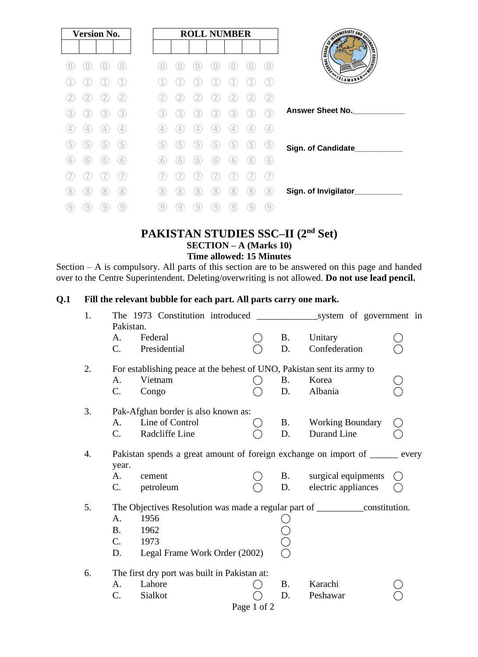| <b>Version No.</b> | <b>ROLL NUMBER</b>                           |                                                 |
|--------------------|----------------------------------------------|-------------------------------------------------|
|                    |                                              | <b>CONTRACT AND SCRIPTION OF REAL PROPERTY.</b> |
|                    | $\bigcirc$                                   |                                                 |
|                    |                                              | VSLAMABAD                                       |
| 2                  | 2                                            |                                                 |
| 3<br>3<br>3<br>3   | 3<br>3<br>3<br>3<br>3<br>3<br>3              | <b>Answer Sheet No.</b>                         |
| $\frac{1}{2}$      | $\left( 4\right)$<br>Έ                       |                                                 |
| 5<br>5<br>5<br>b   | 5<br>5<br>5<br>5<br>5<br>5<br>b              | Sign. of Candidate_                             |
| 6<br>6<br>6<br>6   | 6<br>6<br>6<br>6<br>6<br>6<br>6              |                                                 |
|                    |                                              |                                                 |
| 8<br>8<br>8)<br>8  | 8<br>8<br>8<br>8<br>8<br>8<br>8              | Sign. of Invigilator_                           |
| 9<br>9<br>9<br>9   | $\overline{9}$<br>9<br>9<br>9<br>9<br>9<br>9 |                                                 |

# **PAKISTAN STUDIES SSC–II (2nd Set) SECTION – A (Marks 10) Time allowed: 15 Minutes**

Section – A is compulsory. All parts of this section are to be answered on this page and handed over to the Centre Superintendent. Deleting/overwriting is not allowed. **Do not use lead pencil.**

## **Q.1 Fill the relevant bubble for each part. All parts carry one mark.**

| 1. | Pakistan.   |                                                                                  |             |           |                            |                                               |
|----|-------------|----------------------------------------------------------------------------------|-------------|-----------|----------------------------|-----------------------------------------------|
|    | A.          | Federal                                                                          |             | <b>B.</b> | Unitary                    |                                               |
|    | $C_{\cdot}$ | Presidential                                                                     |             | D.        | Confederation              |                                               |
| 2. |             | For establishing peace at the behest of UNO, Pakistan sent its army to           |             |           |                            |                                               |
|    | A.          | Vietnam                                                                          |             | B.        | Korea                      |                                               |
|    | C.          | Congo                                                                            |             | D.        | Albania                    |                                               |
| 3. |             | Pak-Afghan border is also known as:                                              |             |           |                            |                                               |
|    | $A_{\cdot}$ | Line of Control                                                                  |             |           | <b>B.</b> Working Boundary |                                               |
|    | $C_{\cdot}$ | Radcliffe Line                                                                   |             | D.        | Durand Line                |                                               |
| 4. | year.       | Pakistan spends a great amount of foreign exchange on import of ______ every     |             |           |                            |                                               |
|    | A.          | cement                                                                           |             | <b>B.</b> | surgical equipments        |                                               |
|    | C.          | petroleum                                                                        |             | D.        | electric appliances        | $\left( \begin{array}{c} \end{array} \right)$ |
| 5. |             | The Objectives Resolution was made a regular part of ______________constitution. |             |           |                            |                                               |
|    | A.          | 1956                                                                             |             |           |                            |                                               |
|    | B.          | 1962                                                                             |             |           |                            |                                               |
|    | $C_{\cdot}$ | 1973                                                                             |             |           |                            |                                               |
|    | D.          | Legal Frame Work Order (2002)                                                    |             |           |                            |                                               |
| 6. |             | The first dry port was built in Pakistan at:                                     |             |           |                            |                                               |
|    | A.          | Lahore                                                                           |             | <b>B.</b> | Karachi                    |                                               |
|    | C.          | Sialkot                                                                          |             | D.        | Peshawar                   |                                               |
|    |             |                                                                                  | Page 1 of 2 |           |                            |                                               |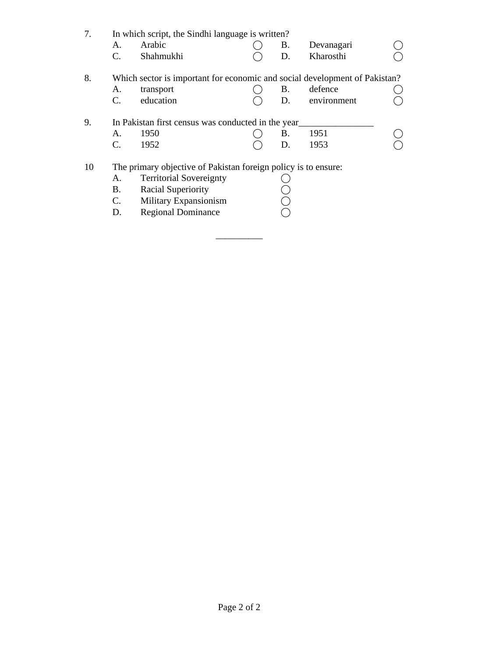| Arabic<br>Devanagari<br>A.<br>В.<br>Kharosthi<br>$\mathbf{C}$ .<br>Shahmukhi<br>D.<br>8.<br>Which sector is important for economic and social development of Pakistan?<br>defence<br>B.<br>transport<br>А.<br>education<br>C.<br>D.<br>environment<br>9.<br>In Pakistan first census was conducted in the year<br>1951<br>1950<br>A.<br>В. | In which script, the Sindhi language is written? |  |  |  |  |
|--------------------------------------------------------------------------------------------------------------------------------------------------------------------------------------------------------------------------------------------------------------------------------------------------------------------------------------------|--------------------------------------------------|--|--|--|--|
|                                                                                                                                                                                                                                                                                                                                            |                                                  |  |  |  |  |
|                                                                                                                                                                                                                                                                                                                                            |                                                  |  |  |  |  |
|                                                                                                                                                                                                                                                                                                                                            |                                                  |  |  |  |  |
|                                                                                                                                                                                                                                                                                                                                            |                                                  |  |  |  |  |
|                                                                                                                                                                                                                                                                                                                                            |                                                  |  |  |  |  |
|                                                                                                                                                                                                                                                                                                                                            |                                                  |  |  |  |  |
|                                                                                                                                                                                                                                                                                                                                            |                                                  |  |  |  |  |
| $\mathbf{C}$ .<br>1952<br>1953<br>D.                                                                                                                                                                                                                                                                                                       |                                                  |  |  |  |  |
| 10<br>The primary objective of Pakistan foreign policy is to ensure:                                                                                                                                                                                                                                                                       |                                                  |  |  |  |  |
| <b>Territorial Sovereignty</b><br>А.                                                                                                                                                                                                                                                                                                       |                                                  |  |  |  |  |
| <b>Racial Superiority</b><br>Β.                                                                                                                                                                                                                                                                                                            |                                                  |  |  |  |  |
| $\mathcal{C}$ .<br>Military Expansionism                                                                                                                                                                                                                                                                                                   |                                                  |  |  |  |  |
| <b>Regional Dominance</b><br>D.                                                                                                                                                                                                                                                                                                            |                                                  |  |  |  |  |

\_\_\_\_\_\_\_\_\_\_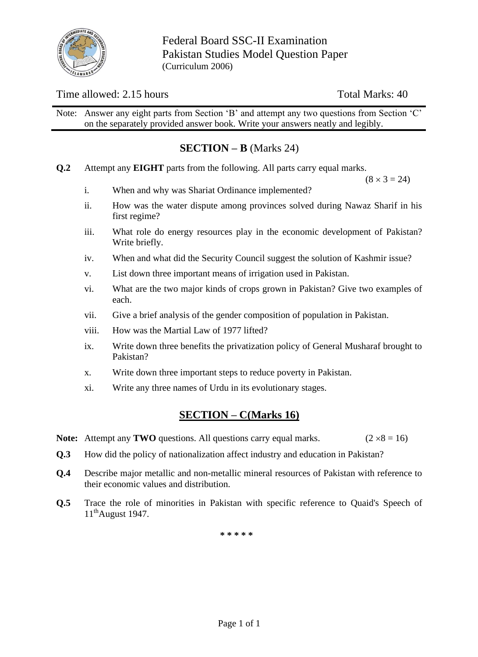

# Time allowed: 2.15 hours Total Marks: 40

Note: Answer any eight parts from Section 'B' and attempt any two questions from Section 'C' on the separately provided answer book. Write your answers neatly and legibly.

# **SECTION – B** (Marks 24)

**Q.2** Attempt any **EIGHT** parts from the following. All parts carry equal marks.

 $(8 \times 3 = 24)$ 

- i. When and why was Shariat Ordinance implemented?
- ii. How was the water dispute among provinces solved during Nawaz Sharif in his first regime?
- iii. What role do energy resources play in the economic development of Pakistan? Write briefly.
- iv. When and what did the Security Council suggest the solution of Kashmir issue?
- v. List down three important means of irrigation used in Pakistan.
- vi. What are the two major kinds of crops grown in Pakistan? Give two examples of each.
- vii. Give a brief analysis of the gender composition of population in Pakistan.
- viii. How was the Martial Law of 1977 lifted?
- ix. Write down three benefits the privatization policy of General Musharaf brought to Pakistan?
- x. Write down three important steps to reduce poverty in Pakistan.
- xi. Write any three names of Urdu in its evolutionary stages.

# **SECTION – C(Marks 16)**

- **Note:** Attempt any **TWO** questions. All questions carry equal marks. ( $2 \times 8 = 16$ )
- **Q.3** How did the policy of nationalization affect industry and education in Pakistan?
- **Q.4** Describe major metallic and non-metallic mineral resources of Pakistan with reference to their economic values and distribution.
- **Q.5** Trace the role of minorities in Pakistan with specific reference to Quaid's Speech of 11thAugust 1947.

**\* \* \* \* \***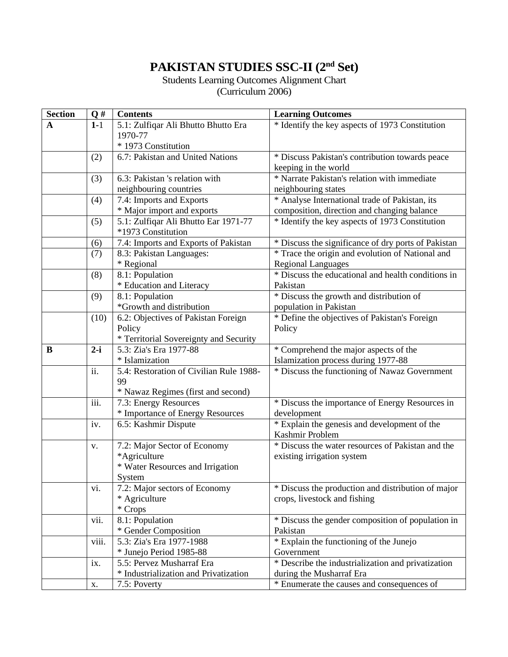# **PAKISTAN STUDIES SSC-II (2nd Set)**

## Students Learning Outcomes Alignment Chart (Curriculum 2006)

| <b>Section</b> | $\mathbf{Q}$ # | <b>Contents</b>                         | <b>Learning Outcomes</b>                            |  |  |
|----------------|----------------|-----------------------------------------|-----------------------------------------------------|--|--|
| $\mathbf{A}$   | $1 - 1$        | 5.1: Zulfiqar Ali Bhutto Bhutto Era     | * Identify the key aspects of 1973 Constitution     |  |  |
|                |                | 1970-77                                 |                                                     |  |  |
|                |                | * 1973 Constitution                     |                                                     |  |  |
|                | (2)            | 6.7: Pakistan and United Nations        | * Discuss Pakistan's contribution towards peace     |  |  |
|                |                |                                         | keeping in the world                                |  |  |
|                | (3)            | 6.3: Pakistan 's relation with          | * Narrate Pakistan's relation with immediate        |  |  |
|                |                | neighbouring countries                  | neighbouring states                                 |  |  |
|                | (4)            | 7.4: Imports and Exports                | * Analyse International trade of Pakistan, its      |  |  |
|                |                | * Major import and exports              | composition, direction and changing balance         |  |  |
|                | (5)            | 5.1: Zulfiqar Ali Bhutto Ear 1971-77    | * Identify the key aspects of 1973 Constitution     |  |  |
|                |                | *1973 Constitution                      |                                                     |  |  |
|                | (6)            | 7.4: Imports and Exports of Pakistan    | * Discuss the significance of dry ports of Pakistan |  |  |
|                | (7)            | 8.3: Pakistan Languages:                | * Trace the origin and evolution of National and    |  |  |
|                |                | * Regional                              | <b>Regional Languages</b>                           |  |  |
|                | (8)            | 8.1: Population                         | * Discuss the educational and health conditions in  |  |  |
|                |                | * Education and Literacy                | Pakistan                                            |  |  |
|                | (9)            | 8.1: Population                         | * Discuss the growth and distribution of            |  |  |
|                |                | *Growth and distribution                | population in Pakistan                              |  |  |
|                | (10)           | 6.2: Objectives of Pakistan Foreign     | * Define the objectives of Pakistan's Foreign       |  |  |
|                |                | Policy                                  | Policy                                              |  |  |
|                |                | * Territorial Sovereignty and Security  |                                                     |  |  |
| $\bf{B}$       | $2-i$          | 5.3: Zia's Era 1977-88                  | * Comprehend the major aspects of the               |  |  |
|                |                | * Islamization                          | Islamization process during 1977-88                 |  |  |
|                | ii.            | 5.4: Restoration of Civilian Rule 1988- | * Discuss the functioning of Nawaz Government       |  |  |
|                |                | 99                                      |                                                     |  |  |
|                |                | * Nawaz Regimes (first and second)      |                                                     |  |  |
|                | iii.           | 7.3: Energy Resources                   | * Discuss the importance of Energy Resources in     |  |  |
| iv.            |                | * Importance of Energy Resources        | development                                         |  |  |
|                |                | 6.5: Kashmir Dispute                    | * Explain the genesis and development of the        |  |  |
|                |                |                                         | Kashmir Problem                                     |  |  |
|                | V.             | 7.2: Major Sector of Economy            | * Discuss the water resources of Pakistan and the   |  |  |
|                |                | *Agriculture                            | existing irrigation system                          |  |  |
|                |                | * Water Resources and Irrigation        |                                                     |  |  |
|                |                | System                                  |                                                     |  |  |
|                | vi.            | 7.2: Major sectors of Economy           | * Discuss the production and distribution of major  |  |  |
|                |                | * Agriculture                           | crops, livestock and fishing                        |  |  |
|                |                | * Crops                                 |                                                     |  |  |
|                | vii.           | 8.1: Population                         | * Discuss the gender composition of population in   |  |  |
|                |                | * Gender Composition                    | Pakistan                                            |  |  |
|                | viii.          | 5.3: Zia's Era 1977-1988                | * Explain the functioning of the Junejo             |  |  |
|                |                | * Junejo Period 1985-88                 | Government                                          |  |  |
|                | ix.            | 5.5: Pervez Musharraf Era               | * Describe the industrialization and privatization  |  |  |
|                |                | * Industrialization and Privatization   | during the Musharraf Era                            |  |  |
|                | X.             | 7.5: Poverty                            | * Enumerate the causes and consequences of          |  |  |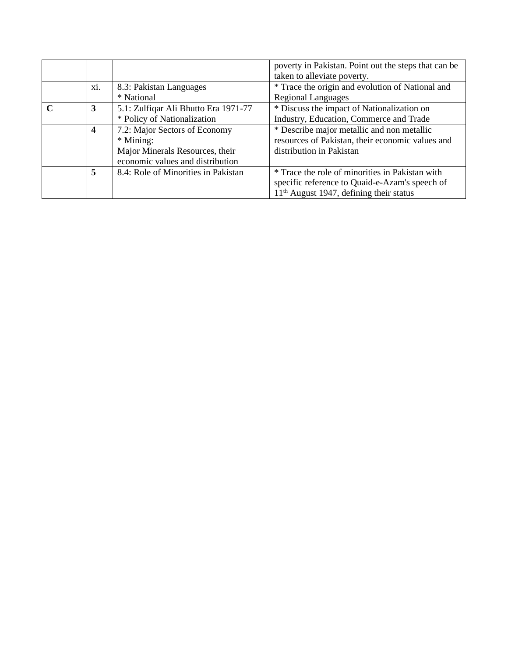|     |                                      | poverty in Pakistan. Point out the steps that can be |  |  |
|-----|--------------------------------------|------------------------------------------------------|--|--|
|     |                                      | taken to alleviate poverty.                          |  |  |
| xi. | 8.3: Pakistan Languages              | * Trace the origin and evolution of National and     |  |  |
|     | * National                           | <b>Regional Languages</b>                            |  |  |
| 3   | 5.1: Zulfiqar Ali Bhutto Era 1971-77 | * Discuss the impact of Nationalization on           |  |  |
|     | * Policy of Nationalization          | Industry, Education, Commerce and Trade              |  |  |
| 4   | 7.2: Major Sectors of Economy        | * Describe major metallic and non metallic           |  |  |
|     | * Mining:                            | resources of Pakistan, their economic values and     |  |  |
|     | Major Minerals Resources, their      | distribution in Pakistan                             |  |  |
|     | economic values and distribution     |                                                      |  |  |
| 5   | 8.4: Role of Minorities in Pakistan  | * Trace the role of minorities in Pakistan with      |  |  |
|     |                                      | specific reference to Quaid-e-Azam's speech of       |  |  |
|     |                                      | $11th$ August 1947, defining their status            |  |  |